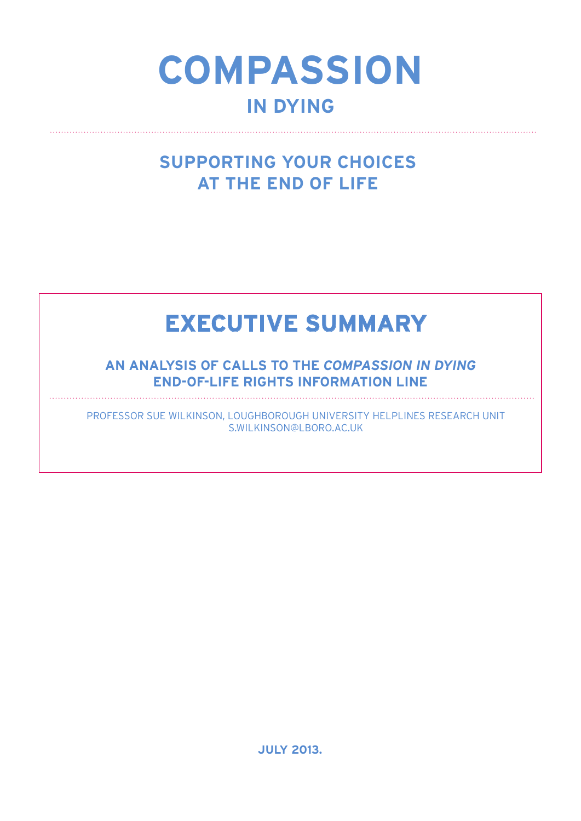# **COMPASSION IN DYING**

### **SUPPORTING YOUR CHOICES AT THE END OF LIFE**

## **EXECUTIVE SUMMARY**

**An Analysis of Calls to the** *Compassion in Dying*  **End-of-Life Rights Information Line**

Professor Sue Wilkinson, Loughborough University Helplines Research Unit s.wilkinson@lboro.ac.uk

**July 2013.**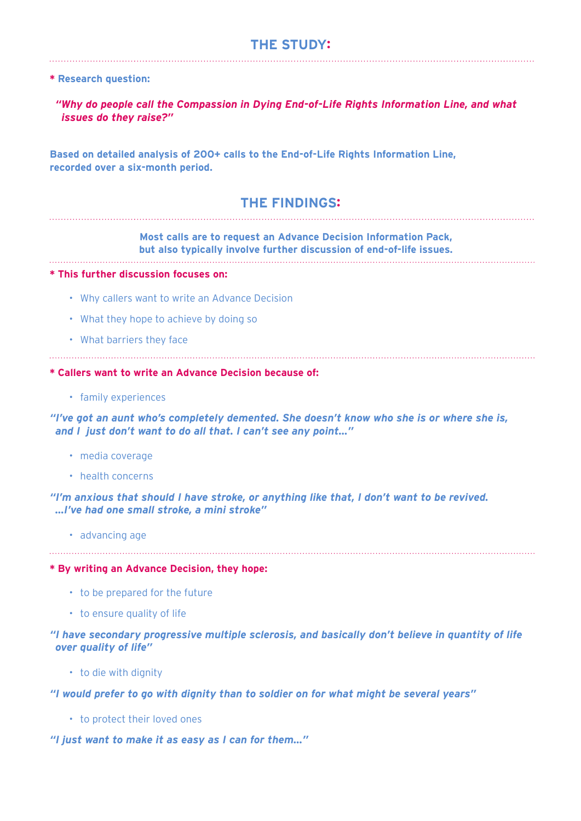#### **THE STUDY:**

#### **\* Research question:**

*"Why do people call the Compassion in Dying End-of-Life Rights Information Line, and what issues do they raise?"*

**Based on detailed analysis of 200+ calls to the End-of-Life Rights Information Line, recorded over a six-month period.** 

#### **THE FINDINGS:**

#### **Most calls are to request an Advance Decision Information Pack, but also typically involve further discussion of end-of-life issues.**

#### **\* This further discussion focuses on:**

- Why callers want to write an Advance Decision
- What they hope to achieve by doing so
- • What barriers they face

#### **\* Callers want to write an Advance Decision because of:**

• family experiences

#### *"I've got an aunt who's completely demented. She doesn't know who she is or where she is, and I just don't want to do all that. I can't see any point…"*

- media coverage
- • health concerns

#### *"I'm anxious that should I have stroke, or anything like that, I don't want to be revived. …I've had one small stroke, a mini stroke"*

• advancing age

#### **\* By writing an Advance Decision, they hope:**

- to be prepared for the future
- to ensure quality of life

#### *"I have secondary progressive multiple sclerosis, and basically don't believe in quantity of life over quality of life"*

• to die with dignity

#### *"I would prefer to go with dignity than to soldier on for what might be several years"*

• to protect their loved ones

#### *"I just want to make it as easy as I can for them…"*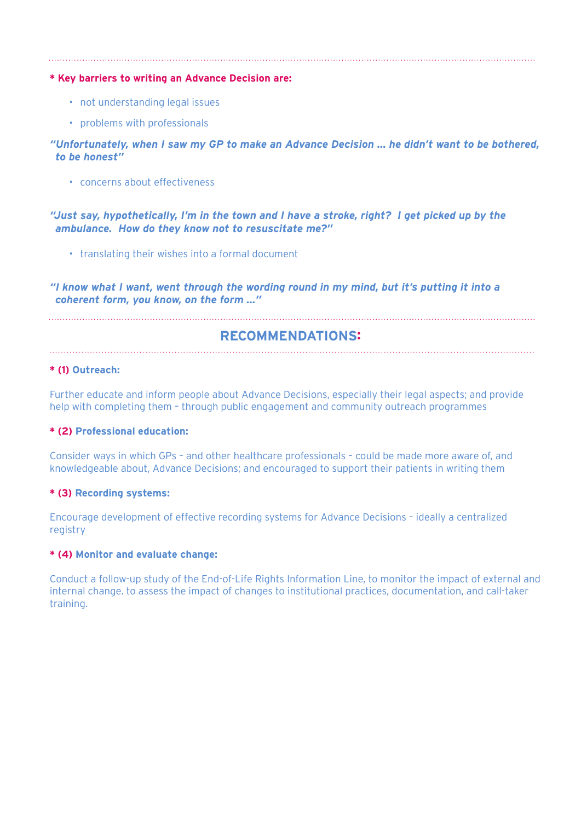**\* Key barriers to writing an Advance Decision are:** 

- not understanding legal issues
- • problems with professionals

#### *"Unfortunately, when I saw my GP to make an Advance Decision … he didn't want to be bothered, to be honest"*

• concerns about effectiveness

#### *"Just say, hypothetically, I'm in the town and I have a stroke, right? I get picked up by the ambulance. How do they know not to resuscitate me?"*

• translating their wishes into a formal document

*"I know what I want, went through the wording round in my mind, but it's putting it into a coherent form, you know, on the form …"*

#### **RECOMMENDATIONS:**

#### **\* (1) Outreach:**

Further educate and inform people about Advance Decisions, especially their legal aspects; and provide help with completing them – through public engagement and community outreach programmes

#### **\* (2) Professional education:**

Consider ways in which GPs – and other healthcare professionals – could be made more aware of, and knowledgeable about, Advance Decisions; and encouraged to support their patients in writing them

#### **\* (3) Recording systems:**

Encourage development of effective recording systems for Advance Decisions – ideally a centralized registry

#### **\* (4) Monitor and evaluate change:**

Conduct a follow-up study of the End-of-Life Rights Information Line, to monitor the impact of external and internal change. to assess the impact of changes to institutional practices, documentation, and call-taker training.